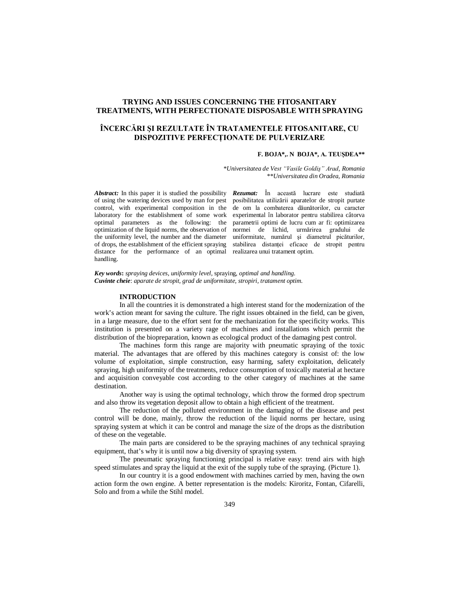## **TRYING AND ISSUES CONCERNING THE FITOSANITARY TREATMENTS, WITH PERFECTIONATE DISPOSABLE WITH SPRAYING**

# **ÎNCERCĂRI ŞI REZULTATE ÎN TRATAMENTELE FITOSANITARE, CU DISPOZITIVE PERFECŢIONATE DE PULVERIZARE**

### **F. BOJA\*,. N BOJA\*, A. TEUŞDEA\*\***

*\*Universitatea de Vest "Vasile Goldiş" Arad, Romania \*\*Universitatea din Oradea, Romania*

control, with experimental composition in the laboratory for the establishment of some work optimal parameters as the following: the optimization of the liquid norms, the observation of the uniformity level, the number and the diameter of drops, the establishment of the efficient spraying distance for the performance of an optimal realizarea unui tratament optim. handling.

*Abstract:* In this paper it is studied the possibility *Rezumat:* În această lucrare este studiată of using the watering devices used by man for pest posibilitatea utilizării aparatelor de stropit purtate de om la combaterea dăunătorilor, cu caracter experimental în laborator pentru stabilirea câtorva parametrii optimi de lucru cum ar fi: optimizarea normei de lichid, urmărirea gradului de uniformitate, numărul şi diametrul picăturilor, stabilirea distantei eficace de stropit pentru

*Key words***:** *spraying devices, uniformity level,* spraying*, optimal and handling. Cuvinte cheie*: *aparate de stropit, grad de uniformitate, stropiri, tratament optim.*

### **INTRODUCTION**

In all the countries it is demonstrated a high interest stand for the modernization of the work's action meant for saving the culture. The right issues obtained in the field, can be given, in a large measure, due to the effort sent for the mechanization for the specificity works. This institution is presented on a variety rage of machines and installations which permit the distribution of the biopreparation, known as ecological product of the damaging pest control.

The machines form this range are majority with pneumatic spraying of the toxic material. The advantages that are offered by this machines category is consist of: the low volume of exploitation, simple construction, easy harming, safety exploitation, delicately spraying, high uniformity of the treatments, reduce consumption of toxically material at hectare and acquisition conveyable cost according to the other category of machines at the same destination.

Another way is using the optimal technology, which throw the formed drop spectrum and also throw its vegetation deposit allow to obtain a high efficient of the treatment.

The reduction of the polluted environment in the damaging of the disease and pest control will be done, mainly, throw the reduction of the liquid norms per hectare, using spraying system at which it can be control and manage the size of the drops as the distribution of these on the vegetable.

The main parts are considered to be the spraying machines of any technical spraying equipment, that's why it is until now a big diversity of spraying system.

The pneumatic spraying functioning principal is relative easy: trend airs with high speed stimulates and spray the liquid at the exit of the supply tube of the spraying. (Picture 1).

In our country it is a good endowment with machines carried by men, having the own action form the own engine. A better representation is the models: Kiroritz, Fontan, Cifarelli, Solo and from a while the Stihl model.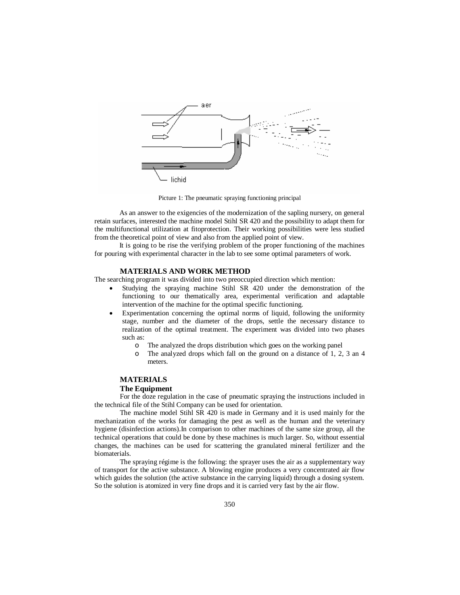

Picture 1: The pneumatic spraying functioning principal

As an answer to the exigencies of the modernization of the sapling nursery, on general retain surfaces, interested the machine model Stihl SR 420 and the possibility to adapt them for the multifunctional utilization at fitoprotection. Their working possibilities were less studied from the theoretical point of view and also from the applied point of view.

It is going to be rise the verifying problem of the proper functioning of the machines for pouring with experimental character in the lab to see some optimal parameters of work.

### **MATERIALS AND WORK METHOD**

The searching program it was divided into two preoccupied direction which mention:

- Studying the spraying machine Stihl SR 420 under the demonstration of the functioning to our thematically area, experimental verification and adaptable intervention of the machine for the optimal specific functioning.
- Experimentation concerning the optimal norms of liquid, following the uniformity stage, number and the diameter of the drops, settle the necessary distance to realization of the optimal treatment. The experiment was divided into two phases such as:
	- o The analyzed the drops distribution which goes on the working panel
	- o The analyzed drops which fall on the ground on a distance of 1, 2, 3 an 4 meters.

# **MATERIALS**

### **The Equipment**

For the doze regulation in the case of pneumatic spraying the instructions included in the technical file of the Stihl Company can be used for orientation.

The machine model Stihl SR 420 is made in Germany and it is used mainly for the mechanization of the works for damaging the pest as well as the human and the veterinary hygiene (disinfection actions).In comparison to other machines of the same size group, all the technical operations that could be done by these machines is much larger. So, without essential changes, the machines can be used for scattering the granulated mineral fertilizer and the biomaterials.

The spraying régime is the following: the sprayer uses the air as a supplementary way of transport for the active substance. A blowing engine produces a very concentrated air flow which guides the solution (the active substance in the carrying liquid) through a dosing system. So the solution is atomized in very fine drops and it is carried very fast by the air flow.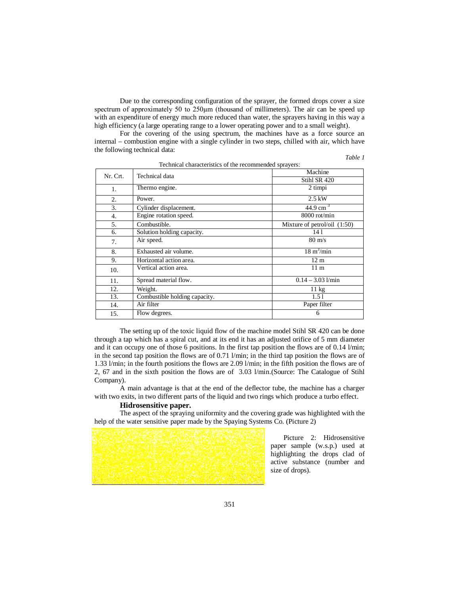Due to the corresponding configuration of the sprayer, the formed drops cover a size spectrum of approximately 50 to 250<sub>um</sub> (thousand of millimeters). The air can be speed up with an expenditure of energy much more reduced than water, the sprayers having in this way a high efficiency (a large operating range to a lower operating power and to a small weight).

For the covering of the using spectrum, the machines have as a force source an internal – combustion engine with a single cylinder in two steps, chilled with air, which have the following technical data:

|--|--|

| Technical characteristics of the recommended sprayers: |                               |                                |  |  |  |  |  |
|--------------------------------------------------------|-------------------------------|--------------------------------|--|--|--|--|--|
| Nr. Crt.                                               | Technical data                | Machine                        |  |  |  |  |  |
|                                                        |                               | Stihl SR 420                   |  |  |  |  |  |
| 1.                                                     | Thermo engine.                | 2 timpi                        |  |  |  |  |  |
| $\overline{2}$ .                                       | Power.                        | $2.5$ kW                       |  |  |  |  |  |
| 3.                                                     | Cylinder displacement.        | 44.9 cm <sup>3</sup>           |  |  |  |  |  |
| 4.                                                     | Engine rotation speed.        | 8000 rot/min                   |  |  |  |  |  |
| 5.                                                     | Combustible.                  | Mixture of petrol/oil $(1:50)$ |  |  |  |  |  |
| 6.                                                     | Solution holding capacity.    | 14 1                           |  |  |  |  |  |
| 7.                                                     | Air speed.                    | $80 \text{ m/s}$               |  |  |  |  |  |
| 8.                                                     | Exhausted air volume.         | $18 \text{ m}^3/\text{min}$    |  |  |  |  |  |
| 9.                                                     | Horizontal action area.       | 12 <sub>m</sub>                |  |  |  |  |  |
| 10.                                                    | Vertical action area.         | 11 <sub>m</sub>                |  |  |  |  |  |
| 11.                                                    | Spread material flow.         | $0.14 - 3.03$ $1/\text{min}$   |  |  |  |  |  |
| 12.                                                    | Weight.                       | $11 \text{ kg}$                |  |  |  |  |  |
| 13.                                                    | Combustible holding capacity. | 1.51                           |  |  |  |  |  |
| 14.                                                    | Air filter                    | Paper filter                   |  |  |  |  |  |
| 15.                                                    | Flow degrees.                 | 6                              |  |  |  |  |  |

The setting up of the toxic liquid flow of the machine model Stihl SR 420 can be done through a tap which has a spiral cut, and at its end it has an adjusted orifice of 5 mm diameter and it can occupy one of those 6 positions. In the first tap position the flows are of 0.14 l/min; in the second tap position the flows are of 0.71 l/min; in the third tap position the flows are of 1.33 l/min; in the fourth positions the flows are 2.09 l/min; in the fifth position the flows are of 2, 67 and in the sixth position the flows are of 3.03 l/min.(Source: The Catalogue of Stihl Company).

A main advantage is that at the end of the deflector tube, the machine has a charger with two exits, in two different parts of the liquid and two rings which produce a turbo effect.

# **Hidrosensitive paper.**

The aspect of the spraying uniformity and the covering grade was highlighted with the help of the water sensitive paper made by the Spaying Systems Co. (Picture 2)

> Picture 2: Hidrosensitive paper sample (w.s.p.) used at highlighting the drops clad of active substance (number and size of drops).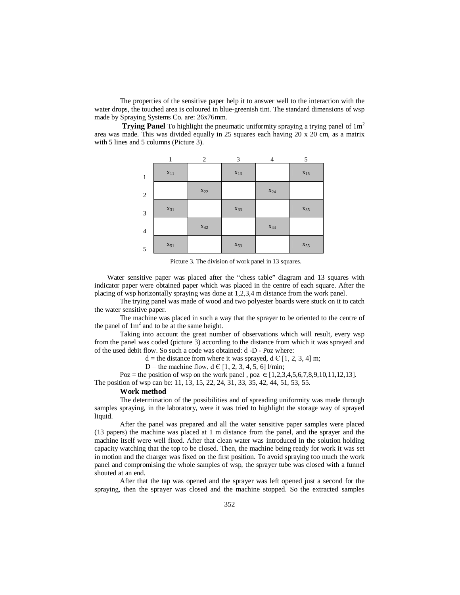The properties of the sensitive paper help it to answer well to the interaction with the water drops, the touched area is coloured in blue-greenish tint. The standard dimensions of wsp made by Spraying Systems Co. are: 26x76mm.

**Trying Panel** To highlight the pneumatic uniformity spraying a trying panel of  $1m^2$ area was made. This was divided equally in 25 squares each having 20 x 20 cm, as a matrix with 5 lines and 5 columns (Picture 3).



Picture 3. The division of work panel in 13 squares.

Water sensitive paper was placed after the "chess table" diagram and 13 squares with indicator paper were obtained paper which was placed in the centre of each square. After the placing of wsp horizontally spraying was done at 1,2,3,4 m distance from the work panel.

The trying panel was made of wood and two polyester boards were stuck on it to catch the water sensitive paper.

The machine was placed in such a way that the sprayer to be oriented to the centre of the panel of  $1m^2$  and to be at the same height.

Taking into account the great number of observations which will result, every wsp from the panel was coded (picture 3) according to the distance from which it was sprayed and of the used debit flow. So such a code was obtained: d -D - Poz where:

 $d =$  the distance from where it was sprayed,  $d \in [1, 2, 3, 4]$  m;

D = the machine flow, d  $\in$  [1, 2, 3, 4, 5, 6] l/min;

Poz = the position of wsp on the work panel, poz  $\in$  [1,2,3,4,5,6,7,8,9,10,11,12,13].

The position of wsp can be: 11, 13, 15, 22, 24, 31, 33, 35, 42, 44, 51, 53, 55.

# **Work method**

The determination of the possibilities and of spreading uniformity was made through samples spraying, in the laboratory, were it was tried to highlight the storage way of sprayed liquid.

After the panel was prepared and all the water sensitive paper samples were placed (13 papers) the machine was placed at 1 m distance from the panel, and the sprayer and the machine itself were well fixed. After that clean water was introduced in the solution holding capacity watching that the top to be closed. Then, the machine being ready for work it was set in motion and the charger was fixed on the first position. To avoid spraying too much the work panel and compromising the whole samples of wsp, the sprayer tube was closed with a funnel shouted at an end.

After that the tap was opened and the sprayer was left opened just a second for the spraying, then the sprayer was closed and the machine stopped. So the extracted samples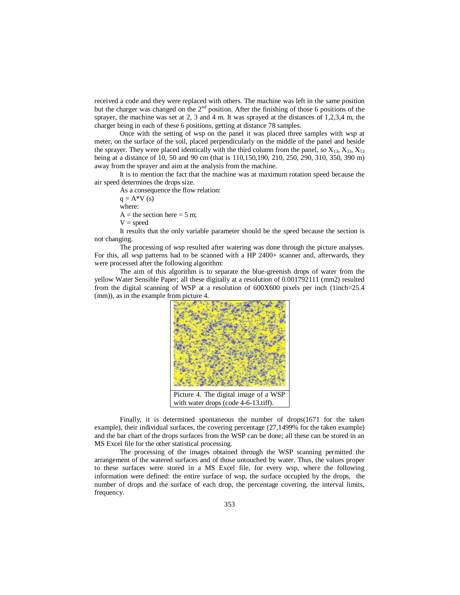received a code and they were replaced with others. The machine was left in the same position but the charger was changed on the  $2<sup>nd</sup>$  position. After the finishing of those 6 positions of the sprayer, the machine was set at 2, 3 and 4 m. It was sprayed at the distances of 1,2,3,4 m, the charger being in each of these 6 positions, getting at distance 78 samples.

Once with the setting of wsp on the panel it was placed three samples with wsp at meter, on the surface of the soil, placed perpendicularly on the middle of the panel and beside the sprayer. They were placed identically with the third column from the panel, so  $X_{13}$ ,  $X_{33}$ ,  $X_{53}$ being at a distance of 10, 50 and 90 cm (that is 110,150,190, 210, 250, 290, 310, 350, 390 m) away from the sprayer and aim at the analysis from the machine.

It is to mention the fact that the machine was at maximum rotation speed because the air speed determines the drops size.

As a consequence the flow relation:

 $q = A*V(s)$ 

where:

 $A =$  the section here = 5 m;

 $V = speed$ 

It results that the only variable parameter should be the speed because the section is not changing.

The processing of wsp resulted after watering was done through the picture analyses. For this, all wsp patterns had to be scanned with a HP 2400+ scanner and, afterwards, they were processed after the following algorithm:

The aim of this algorithm is to separate the blue-greenish drops of water from the yellow Water Sensible Paper; all these digitally at a resolution of 0.001792111 (mm2) resulted from the digital scanning of WSP at a resolution of 600X600 pixels per inch (1inch=25.4 (mm)), as in the example from picture 4.



Finally, it is determined spontaneous the number of drops(1671 for the taken example), their individual surfaces, the covering percentage (27,1499% for the taken example) and the bar chart of the drops surfaces from the WSP can be done; all these can be stored in an MS Excel file for the other statistical processing.

The processing of the images obtained through the WSP scanning permitted the arrangement of the watered surfaces and of those untouched by water. Thus, the values proper to these surfaces were stored in a MS Excel file, for every wsp, where the following information were defined: the entire surface of wsp, the surface occupied by the drops, the number of drops and the surface of each drop, the percentage covering, the interval limits, frequency.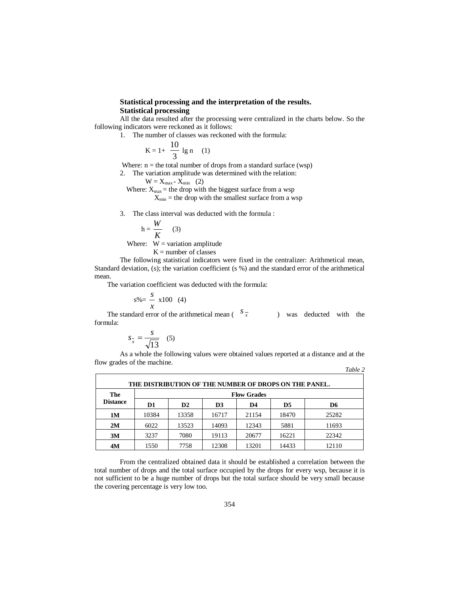### **Statistical processing and the interpretation of the results. Statistical processing**

All the data resulted after the processing were centralized in the charts below. So the following indicators were reckoned as it follows:

1. The number of classes was reckoned with the formula:

$$
K = 1 + \frac{10}{3} \lg n \quad (1)
$$

Where:  $n =$  the total number of drops from a standard surface (wsp)

- 2. The variation amplitude was determined with the relation:
	- $W = X_{max} \overline{X}_{min}$  (2)

Where:  $X_{\text{max}}$  = the drop with the biggest surface from a wsp

 $X_{\text{min}}$  = the drop with the smallest surface from a wsp

3. The class interval was deducted with the formula :

$$
h = \frac{W}{K} \qquad (3)
$$

Where:  $W =$  variation amplitude

 $K =$  number of classes

The following statistical indicators were fixed in the centralizer: Arithmetical mean, Standard deviation, (s); the variation coefficient (s %) and the standard error of the arithmetical mean.

The variation coefficient was deducted with the formula:

$$
s\% = \frac{s}{x} \times 100 \quad (4)
$$

The standard error of the arithmetical mean ( $s_x$ ) was deducted with the formula:

$$
s_{\overline{x}} = \frac{s}{\sqrt{13}} \quad (5)
$$

As a whole the following values were obtained values reported at a distance and at the flow grades of the machine. *Table 2*

| THE DISTRIBUTION OF THE NUMBER OF DROPS ON THE PANEL. |                    |       |                |       |                |                |  |  |
|-------------------------------------------------------|--------------------|-------|----------------|-------|----------------|----------------|--|--|
| The<br><b>Distance</b>                                | <b>Flow Grades</b> |       |                |       |                |                |  |  |
|                                                       | D1                 | D2    | D <sub>3</sub> | D4    | D <sub>5</sub> | D <sub>6</sub> |  |  |
| <b>1M</b>                                             | 10384              | 13358 | 16717          | 21154 | 18470          | 25282          |  |  |
| 2M                                                    | 6022               | 13523 | 14093          | 12343 | 5881           | 11693          |  |  |
| 3M                                                    | 3237               | 7080  | 19113          | 20677 | 16221          | 22342          |  |  |
| 4M                                                    | 1550               | 7758  | 12308          | 13201 | 14433          | 12110          |  |  |

From the centralized obtained data it should be established a correlation between the total number of drops and the total surface occupied by the drops for every wsp, because it is not sufficient to be a huge number of drops but the total surface should be very small because the covering percentage is very low too.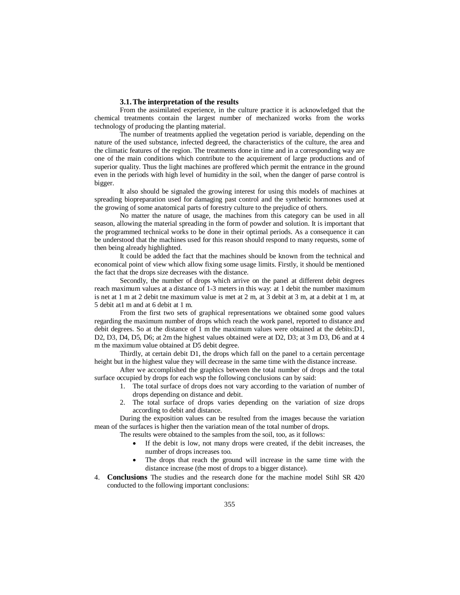#### **3.1.The interpretation of the results**

From the assimilated experience, in the culture practice it is acknowledged that the chemical treatments contain the largest number of mechanized works from the works technology of producing the planting material.

The number of treatments applied the vegetation period is variable, depending on the nature of the used substance, infected degreed, the characteristics of the culture, the area and the climatic features of the region. The treatments done in time and in a corresponding way are one of the main conditions which contribute to the acquirement of large productions and of superior quality. Thus the light machines are proffered which permit the entrance in the ground even in the periods with high level of humidity in the soil, when the danger of parse control is bigger.

It also should be signaled the growing interest for using this models of machines at spreading biopreparation used for damaging past control and the synthetic hormones used at the growing of some anatomical parts of forestry culture to the prejudice of others.

No matter the nature of usage, the machines from this category can be used in all season, allowing the material spreading in the form of powder and solution. It is important that the programmed technical works to be done in their optimal periods. As a consequence it can be understood that the machines used for this reason should respond to many requests, some of then being already highlighted.

It could be added the fact that the machines should be known from the technical and economical point of view which allow fixing some usage limits. Firstly, it should be mentioned the fact that the drops size decreases with the distance.

Secondly, the number of drops which arrive on the panel at different debit degrees reach maximum values at a distance of 1-3 meters in this way: at 1 debit the number maximum is net at 1 m at 2 debit tne maximum value is met at 2 m, at 3 debit at 3 m, at a debit at 1 m, at 5 debit at1 m and at 6 debit at 1 m.

From the first two sets of graphical representations we obtained some good values regarding the maximum number of drops which reach the work panel, reported to distance and debit degrees. So at the distance of 1 m the maximum values were obtained at the debits:D1, D2, D3, D4, D5, D6; at 2m the highest values obtained were at D2, D3; at 3 m D3, D6 and at 4 m the maximum value obtained at D5 debit degree.

Thirdly, at certain debit D1, the drops which fall on the panel to a certain percentage height but in the highest value they will decrease in the same time with the distance increase.

After we accomplished the graphics between the total number of drops and the total surface occupied by drops for each wsp the following conclusions can by said:

- 1. The total surface of drops does not vary according to the variation of number of drops depending on distance and debit.
- 2. The total surface of drops varies depending on the variation of size drops according to debit and distance.

During the exposition values can be resulted from the images because the variation mean of the surfaces is higher then the variation mean of the total number of drops.

The results were obtained to the samples from the soil, too, as it follows:

- If the debit is low, not many drops were created, if the debit increases, the number of drops increases too.
- The drops that reach the ground will increase in the same time with the distance increase (the most of drops to a bigger distance).
- 4. **Conclusions** The studies and the research done for the machine model Stihl SR 420 conducted to the following important conclusions: